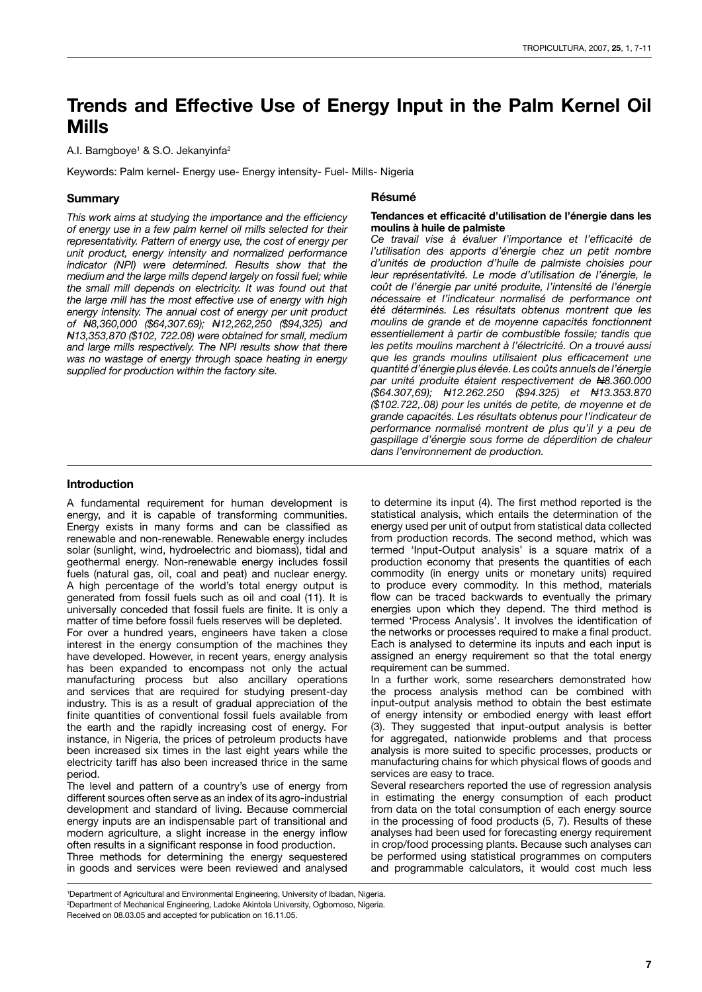# **Trends and Effective Use of Energy Input in the Palm Kernel Oil Mills**

A.I. Bamgboye<sup>1</sup> & S.O. Jekanyinfa<sup>2</sup>

Keywords: Palm kernel- Energy use- Energy intensity- Fuel- Mills- Nigeria

# **Summary**

*This work aims at studying the importance and the efficiency of energy use in a few palm kernel oil mills selected for their representativity. Pattern of energy use, the cost of energy per unit product, energy intensity and normalized performance indicator (NPI) were determined. Results show that the medium and the large mills depend largely on fossil fuel; while the small mill depends on electricity. It was found out that the large mill has the most effective use of energy with high energy intensity. The annual cost of energy per unit product of N8,360,000 (\$64,307.69); N12,262,250 (\$94,325) and N13,353,870 (\$102, 722.08) were obtained for small, medium and large mills respectively. The NPI results show that there was no wastage of energy through space heating in energy supplied for production within the factory site.*

#### **Résumé**

#### **Tendances et efficacité d'utilisation de l'énergie dans les moulins à huile de palmiste**

*Ce travail vise à évaluer l'importance et l'efficacité de l'utilisation des apports d'énergie chez un petit nombre d'unités de production d'huile de palmiste choisies pour leur représentativité. Le mode d'utilisation de l'énergie, le coût de l'énergie par unité produite, l'intensité de l'énergie nécessaire et l'indicateur normalisé de performance ont été déterminés. Les résultats obtenus montrent que les moulins de grande et de moyenne capacités fonctionnent essentiellement à partir de combustible fossile; tandis que les petits moulins marchent à l'électricité. On a trouvé aussi que les grands moulins utilisaient plus efficacement une quantité d'énergie plus élevée. Les coûts annuels de l'énergie par unité produite étaient respectivement de N8.360.000 (\$64.307,69); N12.262.250 (\$94.325) et N13.353.870 (\$102.722,.08) pour les unités de petite, de moyenne et de grande capacités. Les résultats obtenus pour l'indicateur de performance normalisé montrent de plus qu'il y a peu de gaspillage d'énergie sous forme de déperdition de chaleur dans l'environnement de production.*

# **Introduction**

A fundamental requirement for human development is energy, and it is capable of transforming communities. Energy exists in many forms and can be classified as renewable and non-renewable. Renewable energy includes solar (sunlight, wind, hydroelectric and biomass), tidal and geothermal energy. Non-renewable energy includes fossil fuels (natural gas, oil, coal and peat) and nuclear energy. A high percentage of the world's total energy output is generated from fossil fuels such as oil and coal (11). It is universally conceded that fossil fuels are finite. It is only a matter of time before fossil fuels reserves will be depleted.

For over a hundred years, engineers have taken a close interest in the energy consumption of the machines they have developed. However, in recent years, energy analysis has been expanded to encompass not only the actual manufacturing process but also ancillary operations and services that are required for studying present-day industry. This is as a result of gradual appreciation of the finite quantities of conventional fossil fuels available from the earth and the rapidly increasing cost of energy. For instance, in Nigeria, the prices of petroleum products have been increased six times in the last eight years while the electricity tariff has also been increased thrice in the same period.

The level and pattern of a country's use of energy from different sources often serve as an index of its agro-industrial development and standard of living. Because commercial energy inputs are an indispensable part of transitional and modern agriculture, a slight increase in the energy inflow often results in a significant response in food production. Three methods for determining the energy sequestered in goods and services were been reviewed and analysed to determine its input (4). The first method reported is the statistical analysis, which entails the determination of the energy used per unit of output from statistical data collected from production records. The second method, which was termed 'Input-Output analysis' is a square matrix of a production economy that presents the quantities of each commodity (in energy units or monetary units) required to produce every commodity. In this method, materials flow can be traced backwards to eventually the primary energies upon which they depend. The third method is termed 'Process Analysis'. It involves the identification of the networks or processes required to make a final product. Each is analysed to determine its inputs and each input is assigned an energy requirement so that the total energy requirement can be summed.

In a further work, some researchers demonstrated how the process analysis method can be combined with input-output analysis method to obtain the best estimate of energy intensity or embodied energy with least effort (3). They suggested that input-output analysis is better for aggregated, nationwide problems and that process analysis is more suited to specific processes, products or manufacturing chains for which physical flows of goods and services are easy to trace.

Several researchers reported the use of regression analysis in estimating the energy consumption of each product from data on the total consumption of each energy source in the processing of food products (5, 7). Results of these analyses had been used for forecasting energy requirement in crop/food processing plants. Because such analyses can be performed using statistical programmes on computers and programmable calculators, it would cost much less

<sup>1</sup> Department of Agricultural and Environmental Engineering, University of Ibadan, Nigeria. 2 Department of Mechanical Engineering, Ladoke Akintola University, Ogbomoso, Nigeria. Received on 08.03.05 and accepted for publication on 16.11.05.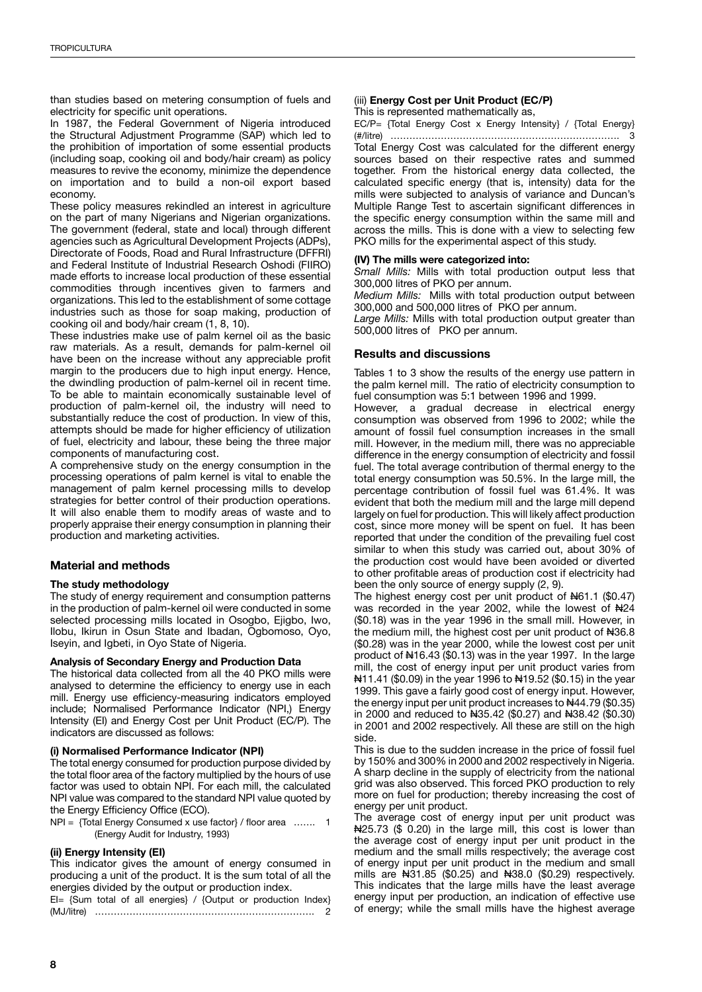than studies based on metering consumption of fuels and electricity for specific unit operations.

In 1987, the Federal Government of Nigeria introduced the Structural Adjustment Programme (SAP) which led to the prohibition of importation of some essential products (including soap, cooking oil and body/hair cream) as policy measures to revive the economy, minimize the dependence on importation and to build a non-oil export based economy.

These policy measures rekindled an interest in agriculture on the part of many Nigerians and Nigerian organizations. The government (federal, state and local) through different agencies such as Agricultural Development Projects (ADPs), Directorate of Foods, Road and Rural Infrastructure (DFFRI) and Federal Institute of Industrial Research Oshodi (FIIRO) made efforts to increase local production of these essential commodities through incentives given to farmers and organizations. This led to the establishment of some cottage industries such as those for soap making, production of cooking oil and body/hair cream (1, 8, 10).

These industries make use of palm kernel oil as the basic raw materials. As a result, demands for palm-kernel oil have been on the increase without any appreciable profit margin to the producers due to high input energy. Hence, the dwindling production of palm-kernel oil in recent time. To be able to maintain economically sustainable level of production of palm-kernel oil, the industry will need to substantially reduce the cost of production. In view of this, attempts should be made for higher efficiency of utilization of fuel, electricity and labour, these being the three major components of manufacturing cost.

A comprehensive study on the energy consumption in the processing operations of palm kernel is vital to enable the management of palm kernel processing mills to develop strategies for better control of their production operations. It will also enable them to modify areas of waste and to properly appraise their energy consumption in planning their production and marketing activities.

# **Material and methods**

# **The study methodology**

The study of energy requirement and consumption patterns in the production of palm-kernel oil were conducted in some selected processing mills located in Osogbo, Ejigbo, Iwo, Ilobu, Ikirun in Osun State and Ibadan, Ogbomoso, Oyo, Iseyin, and Igbeti, in Oyo State of Nigeria.

# **Analysis of Secondary Energy and Production Data**

The historical data collected from all the 40 PKO mills were analysed to determine the efficiency to energy use in each mill. Energy use efficiency-measuring indicators employed include; Normalised Performance Indicator (NPI,) Energy Intensity (EI) and Energy Cost per Unit Product (EC/P). The indicators are discussed as follows:

#### **(i) Normalised Performance Indicator (NPI)**

The total energy consumed for production purpose divided by the total floor area of the factory multiplied by the hours of use factor was used to obtain NPI. For each mill, the calculated NPI value was compared to the standard NPI value quoted by the Energy Efficiency Office (ECO).

NPI = {Total Energy Consumed x use factor} / floor area ....... 1 (Energy Audit for Industry, 1993)

# **(ii) Energy Intensity (EI)**

This indicator gives the amount of energy consumed in producing a unit of the product. It is the sum total of all the energies divided by the output or production index.

EI= {Sum total of all energies} / {Output or production Index} (MJ/litre) ……………………………………………………………. 2

# (iii) **Energy Cost per Unit Product (EC/P)**

This is represented mathematically as,

EC/P= {Total Energy Cost x Energy Intensity} / {Total Energy} (#/litre) ………………………………………………………………. 3

Total Energy Cost was calculated for the different energy sources based on their respective rates and summed together. From the historical energy data collected, the calculated specific energy (that is, intensity) data for the mills were subjected to analysis of variance and Duncan's Multiple Range Test to ascertain significant differences in the specific energy consumption within the same mill and across the mills. This is done with a view to selecting few PKO mills for the experimental aspect of this study.

#### **(IV) The mills were categorized into:**

*Small Mills:* Mills with total production output less that 300,000 litres of PKO per annum.

*Medium Mills:* Mills with total production output between 300,000 and 500,000 litres of PKO per annum.

*Large Mills:* Mills with total production output greater than 500,000 litres of PKO per annum.

# **Results and discussions**

Tables 1 to 3 show the results of the energy use pattern in the palm kernel mill. The ratio of electricity consumption to fuel consumption was 5:1 between 1996 and 1999.

However, a gradual decrease in electrical energy consumption was observed from 1996 to 2002; while the amount of fossil fuel consumption increases in the small mill. However, in the medium mill, there was no appreciable difference in the energy consumption of electricity and fossil fuel. The total average contribution of thermal energy to the total energy consumption was 50.5%. In the large mill, the percentage contribution of fossil fuel was 61.4%. It was evident that both the medium mill and the large mill depend largely on fuel for production. This will likely affect production cost, since more money will be spent on fuel. It has been reported that under the condition of the prevailing fuel cost similar to when this study was carried out, about 30% of the production cost would have been avoided or diverted to other profitable areas of production cost if electricity had been the only source of energy supply (2, 9).

The highest energy cost per unit product of N61.1 (\$0.47) was recorded in the year 2002, while the lowest of N24 (\$0.18) was in the year 1996 in the small mill. However, in the medium mill, the highest cost per unit product of N36.8 (\$0.28) was in the year 2000, while the lowest cost per unit product of N16.43 (\$0.13) was in the year 1997. In the large mill, the cost of energy input per unit product varies from N11.41 (\$0.09) in the year 1996 to N19.52 (\$0.15) in the year 1999. This gave a fairly good cost of energy input. However, the energy input per unit product increases to N44.79 (\$0.35) in 2000 and reduced to N35.42 (\$0.27) and N38.42 (\$0.30) in 2001 and 2002 respectively. All these are still on the high side.

This is due to the sudden increase in the price of fossil fuel by 150% and 300% in 2000 and 2002 respectively in Nigeria. A sharp decline in the supply of electricity from the national grid was also observed. This forced PKO production to rely more on fuel for production; thereby increasing the cost of energy per unit product.

The average cost of energy input per unit product was N25.73 (\$ 0.20) in the large mill, this cost is lower than the average cost of energy input per unit product in the medium and the small mills respectively; the average cost of energy input per unit product in the medium and small mills are N31.85 (\$0.25) and N38.0 (\$0.29) respectively. This indicates that the large mills have the least average energy input per production, an indication of effective use of energy; while the small mills have the highest average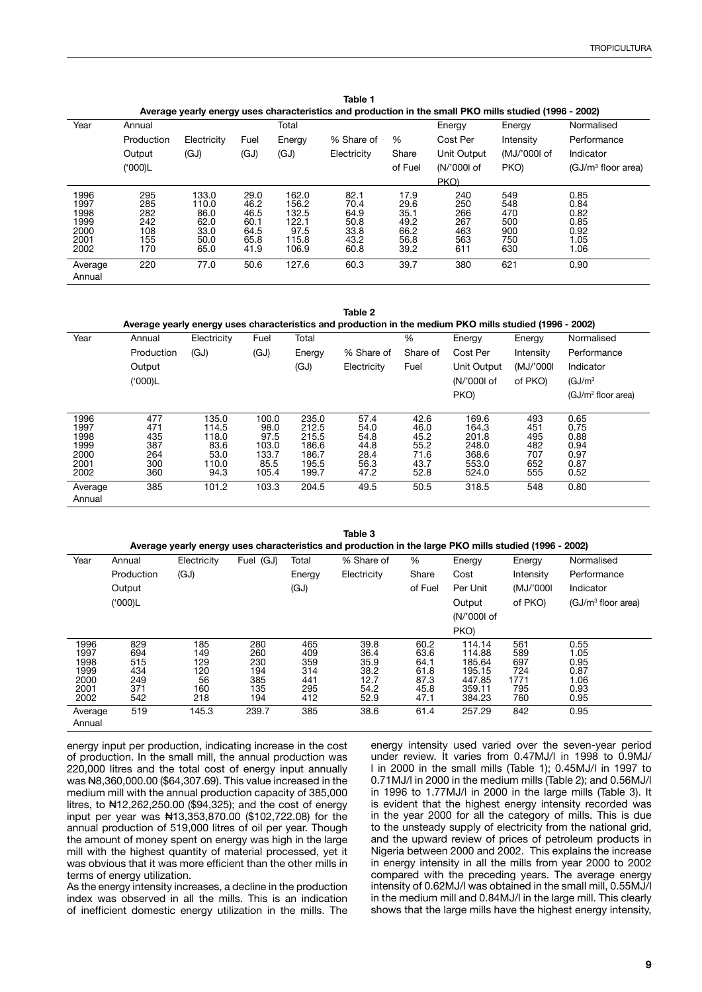| Average yearly energy uses characteristics and production in the small PKO mills studied (1996 - 2002) |            |               |              |                |              |              |             |              |                      |  |
|--------------------------------------------------------------------------------------------------------|------------|---------------|--------------|----------------|--------------|--------------|-------------|--------------|----------------------|--|
| Year                                                                                                   | Annual     |               |              | Total          |              |              | Energy      | Energy       | Normalised           |  |
|                                                                                                        | Production | Electricity   | Fuel         | Energy         | % Share of   | %            | Cost Per    | Intensity    | Performance          |  |
|                                                                                                        | Output     | (GJ)          | (GJ)         | (GJ)           | Electricity  | Share        | Unit Output | (MJ/'000l of | Indicator            |  |
|                                                                                                        | ('000)L    |               |              |                |              | of Fuel      | (N/'000l of | PKO)         | $(GJ/m3$ floor area) |  |
|                                                                                                        |            |               |              |                |              |              | PKO)        |              |                      |  |
| 1996                                                                                                   | 295        | 133.0         | 29.0         | 162.0          | 82.1         | 17.9         | 240         | 549          | 0.85                 |  |
| 1997<br>1998                                                                                           | 285<br>282 | 110.0<br>86.0 | 46.2<br>46.5 | 156.2<br>132.5 | 70.4<br>64.9 | 29.6<br>35.1 | 250<br>266  | 548<br>470   | 0.84<br>0.82         |  |
| 1999                                                                                                   | 242        | 62.0          | 60.1         | 122.1          | 50.8         | 49.2         | 267         | 500          | 0.85                 |  |
| 2000                                                                                                   | 108        | 33.0          | 64.5         | 97.5           | 33.8         | 66.2         | 463         | 900          | 0.92                 |  |
| 2001                                                                                                   | 155        | 50.0          | 65.8         | 115.8          | 43.2         | 56.8         | 563         | 750          | 1.05                 |  |
| 2002                                                                                                   | 170        | 65.0          | 41.9         | 106.9          | 60.8         | 39.2         | 611         | 630          | 1.06                 |  |
| Average<br>Annual                                                                                      | 220        | 77.0          | 50.6         | 127.6          | 60.3         | 39.7         | 380         | 621          | 0.90                 |  |

**Table 1**

**Table 2**

| Average yearly energy uses characteristics and production in the medium PKO mills studied (1996 - 2002) |            |             |       |        |             |          |             |           |                                |  |
|---------------------------------------------------------------------------------------------------------|------------|-------------|-------|--------|-------------|----------|-------------|-----------|--------------------------------|--|
| Year                                                                                                    | Annual     | Electricity | Fuel  | Total  |             | $\%$     | Energy      | Energy    | Normalised                     |  |
|                                                                                                         | Production | (GJ)        | (GJ)  | Energy | % Share of  | Share of | Cost Per    | Intensity | Performance                    |  |
|                                                                                                         | Output     |             |       | (GJ)   | Electricity | Fuel     | Unit Output | (MJ/'000l | Indicator                      |  |
|                                                                                                         | ('000)L    |             |       |        |             |          | (N/'000l of | of PKO)   | (GJ/m <sup>3</sup> )           |  |
|                                                                                                         |            |             |       |        |             |          | PKO)        |           | (GJ/m <sup>2</sup> floor area) |  |
|                                                                                                         |            |             |       |        |             |          |             |           |                                |  |
| 1996                                                                                                    | 477        | 135.0       | 100.0 | 235.0  | 57.4        | 42.6     | 169.6       | 493       | 0.65                           |  |
| 1997                                                                                                    | 471        | 114.5       | 98.0  | 212.5  | 54.0        | 46.0     | 164.3       | 451       | 0.75                           |  |
| 1998                                                                                                    | 435        | 118.0       | 97.5  | 215.5  | 54.8        | 45.2     | 201.8       | 495       | 0.88                           |  |
| 1999                                                                                                    | 387        | 83.6        | 103.0 | 186.6  | 44.8        | 55.2     | 248.0       | 482       | 0.94                           |  |
| 2000                                                                                                    | 264        | 53.0        | 133.7 | 186.7  | 28.4        | 71.6     | 368.6       | 707       | 0.97                           |  |
| 2001                                                                                                    | 300        | 110.0       | 85.5  | 195.5  | 56.3        | 43.7     | 553.0       | 652       | 0.87                           |  |
| 2002                                                                                                    | 360        | 94.3        | 105.4 | 199.7  | 47.2        | 52.8     | 524.0       | 555       | 0.52                           |  |
| Average                                                                                                 | 385        | 101.2       | 103.3 | 204.5  | 49.5        | 50.5     | 318.5       | 548       | 0.80                           |  |
| Annual                                                                                                  |            |             |       |        |             |          |             |           |                                |  |

**Table 3 Average yearly energy uses characteristics and production in the large PKO mills studied (1996 - 2002)** Year Annual Production **Output** ('000)L **Electricity** (GJ) Fuel (GJ) Total Energy  $(GJ)$ % Share of **Electricity**  $0/$ **Share** of Fuel **Energy** Cost Per Unit **Output** (N/'000l of PKO) Energy Intensity (MJ/'000l of PKO) Normalised Performance Indicator (GJ/m3 floor area) 1996 829 185 280 465 39.8 60.2 114.14 561 0.55 1997 694 149 260 409 36.4 63.6 114.88 589 1.05 1998 515 129 230 359 35.9 64.1 185.64 697 0.95 1999 434 120 194 314 38.2 61.8 195.15 724 0.87 2000 249 56 385 441 12.7 87.3 447.85 1.06 2001 371 160 135 295 54.2 45.8 359.11 795 0.93 2002 542 218 194 412 52.9 47.1 384.23 760 0.95 Average Annual 519 145.3 239.7 385 38.6 61.4 257.29 842 0.95 1771<br>795<br>760

energy input per production, indicating increase in the cost of production. In the small mill, the annual production was 220,000 litres and the total cost of energy input annually was N8,360,000.00 (\$64,307.69). This value increased in the medium mill with the annual production capacity of 385,000 litres, to N12,262,250.00 (\$94,325); and the cost of energy input per year was N13,353,870.00 (\$102,722.08) for the annual production of 519,000 litres of oil per year. Though the amount of money spent on energy was high in the large mill with the highest quantity of material processed, yet it was obvious that it was more efficient than the other mills in terms of energy utilization.

As the energy intensity increases, a decline in the production index was observed in all the mills. This is an indication of inefficient domestic energy utilization in the mills. The energy intensity used varied over the seven-year period under review. It varies from 0.47MJ/l in 1998 to 0.9MJ/ l in 2000 in the small mills (Table 1); 0.45MJ/l in 1997 to 0.71MJ/l in 2000 in the medium mills (Table 2); and 0.56MJ/l in 1996 to 1.77MJ/l in 2000 in the large mills (Table 3). It is evident that the highest energy intensity recorded was in the year 2000 for all the category of mills. This is due to the unsteady supply of electricity from the national grid, and the upward review of prices of petroleum products in Nigeria between 2000 and 2002. This explains the increase in energy intensity in all the mills from year 2000 to 2002 compared with the preceding years. The average energy intensity of 0.62MJ/l was obtained in the small mill, 0.55MJ/l in the medium mill and 0.84MJ/l in the large mill. This clearly shows that the large mills have the highest energy intensity,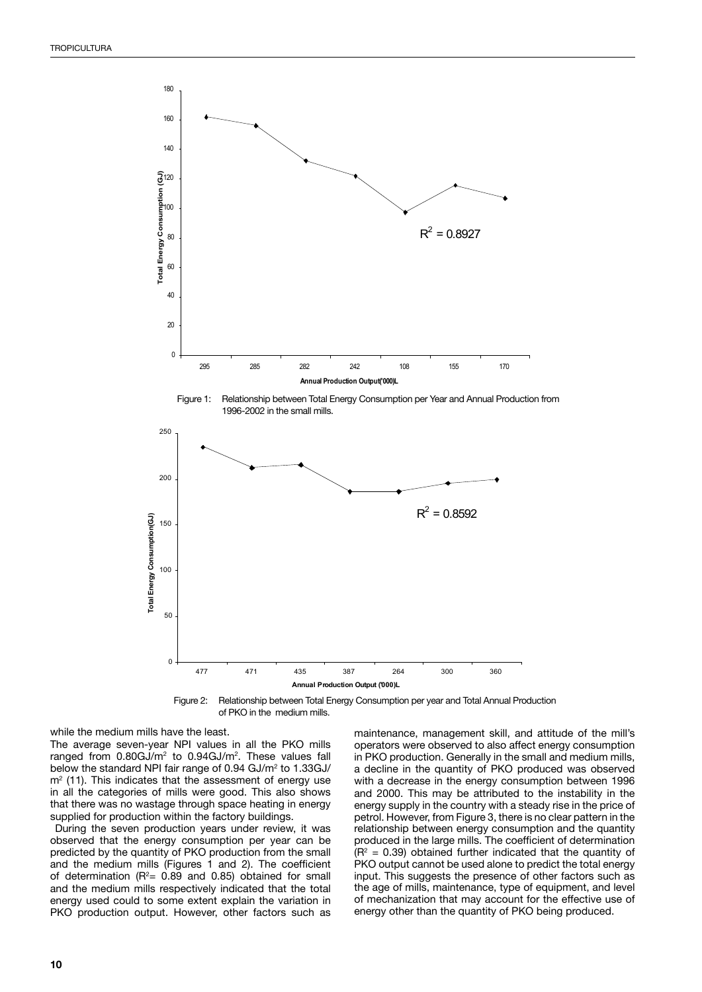–



Figure 1: Relationship between Total Energy Consumption per Year and Annual Production from



477 471 435 387 264 300 360

while the medium mills have the least.

 $\overline{a}$ 

 $\overline{0}$ 

50

100

 $\vec{a}$ 

The average seven-year NPI values in all the PKO mills ranged from 0.80GJ/m<sup>2</sup> to 0.94GJ/m<sup>2</sup>. These values fall below the standard NPI fair range of 0.94 GJ/m<sup>2</sup> to 1.33GJ/  $m<sup>2</sup>$  (11). This indicates that the assessment of energy use in all the categories of mills were good. This also shows that there was no wastage through space heating in energy supplied for production within the factory buildings.

 During the seven production years under review, it was observed that the energy consumption per year can be predicted by the quantity of PKO production from the small and the medium mills (Figures 1 and 2). The coefficient of determination ( $R^2 = 0.89$  and 0.85) obtained for small and the medium mills respectively indicated that the total energy used could to some extent explain the variation in PKO production output. However, other factors such as

maintenance, management skill, and attitude of the mill's operators were observed to also affect energy consumption in PKO production. Generally in the small and medium mills, a decline in the quantity of PKO produced was observed with a decrease in the energy consumption between 1996 and 2000. This may be attributed to the instability in the energy supply in the country with a steady rise in the price of petrol. However, from Figure 3, there is no clear pattern in the relationship between energy consumption and the quantity produced in the large mills. The coefficient of determination  $(R<sup>2</sup> = 0.39)$  obtained further indicated that the quantity of PKO output cannot be used alone to predict the total energy input. This suggests the presence of other factors such as the age of mills, maintenance, type of equipment, and level of mechanization that may account for the effective use of energy other than the quantity of PKO being produced.